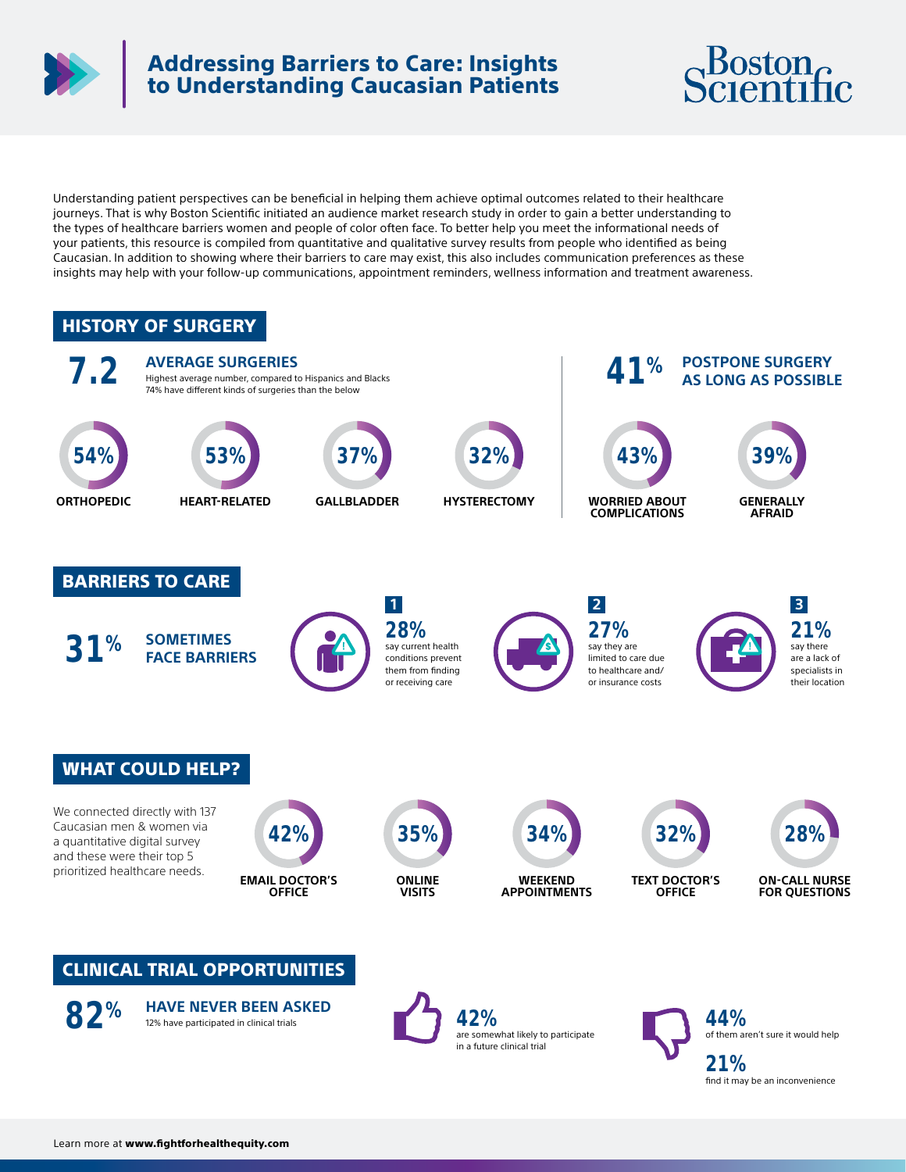

## Addressing Barriers to Care: Insights to Understanding Caucasian Patients



Understanding patient perspectives can be beneficial in helping them achieve optimal outcomes related to their healthcare journeys. That is why Boston Scientific initiated an audience market research study in order to gain a better understanding to the types of healthcare barriers women and people of color often face. To better help you meet the informational needs of your patients, this resource is compiled from quantitative and qualitative survey results from people who identified as being Caucasian. In addition to showing where their barriers to care may exist, this also includes communication preferences as these insights may help with your follow-up communications, appointment reminders, wellness information and treatment awareness.